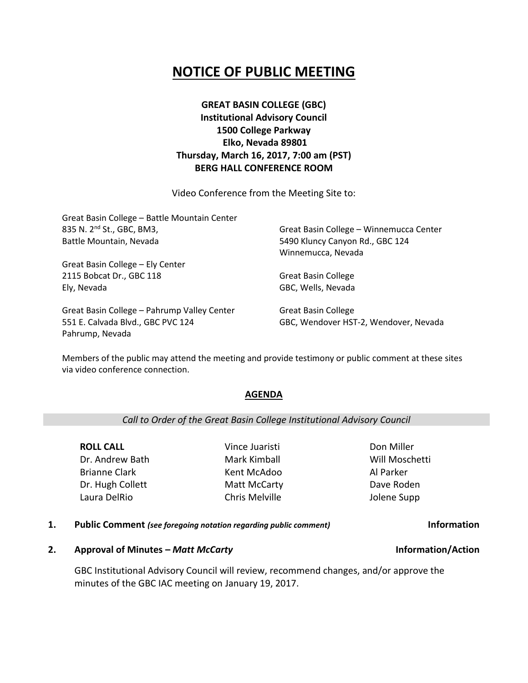# **NOTICE OF PUBLIC MEETING**

## **GREAT BASIN COLLEGE (GBC) Institutional Advisory Council 1500 College Parkway Elko, Nevada 89801 Thursday, March 16, 2017, 7:00 am (PST) BERG HALL CONFERENCE ROOM**

Video Conference from the Meeting Site to:

| Great Basin College - Battle Mountain Center |                                         |
|----------------------------------------------|-----------------------------------------|
| 835 N. 2 <sup>nd</sup> St., GBC, BM3,        | Great Basin College - Winnemucca Center |
| Battle Mountain, Nevada                      | 5490 Kluncy Canyon Rd., GBC 124         |
|                                              | Winnemucca, Nevada                      |
| Great Basin College - Ely Center             |                                         |
| 2115 Bobcat Dr., GBC 118                     | <b>Great Basin College</b>              |
| Ely, Nevada                                  | GBC, Wells, Nevada                      |
| Great Basin College - Pahrump Valley Center  | <b>Great Basin College</b>              |

551 E. Calvada Blvd., GBC PVC 124 Pahrump, Nevada

Great Basin College GBC, Wendover HST-2, Wendover, Nevada

Members of the public may attend the meeting and provide testimony or public comment at these sites via video conference connection.

### **AGENDA**

### *Call to Order of the Great Basin College Institutional Advisory Council*

**ROLL CALL** Dr. Andrew Bath Brianne Clark Dr. Hugh Collett Laura DelRio

Vince Juaristi Mark Kimball Kent McAdoo Matt McCarty Chris Melville

Don Miller Will Moschetti Al Parker Dave Roden Jolene Supp

**1. Public Comment** *(see foregoing notation regarding public comment)* **Information**

## **2. Approval of Minutes –** *Matt McCarty* **Information/Action**

GBC Institutional Advisory Council will review, recommend changes, and/or approve the minutes of the GBC IAC meeting on January 19, 2017.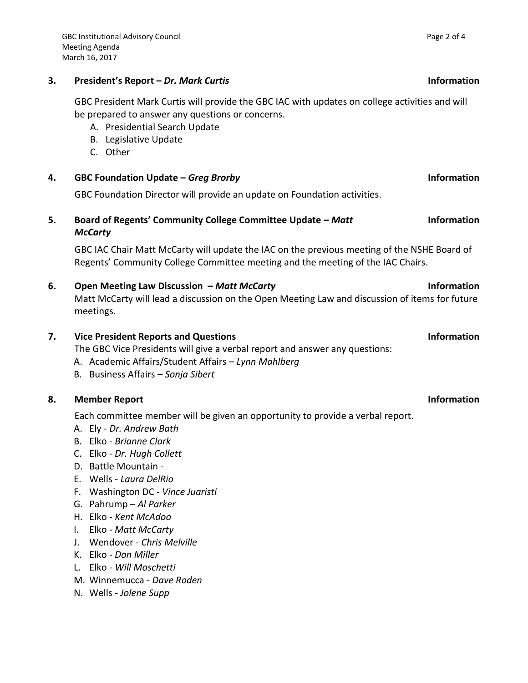## **3. President's Report –** *Dr. Mark Curtis* **Information**

GBC President Mark Curtis will provide the GBC IAC with updates on college activities and will be prepared to answer any questions or concerns.

- A. Presidential Search Update
- B. Legislative Update
- C. Other

## **4. GBC Foundation Update –** *Greg Brorby* **Information**

GBC Foundation Director will provide an update on Foundation activities.

### **5. Board of Regents' Community College Committee Update –** *Matt McCarty* **Information**

GBC IAC Chair Matt McCarty will update the IAC on the previous meeting of the NSHE Board of Regents' Community College Committee meeting and the meeting of the IAC Chairs.

## **6. Open Meeting Law Discussion –** *Matt McCarty* **Information**

Matt McCarty will lead a discussion on the Open Meeting Law and discussion of items for future meetings.

## **7. Vice President Reports and Questions Information**

The GBC Vice Presidents will give a verbal report and answer any questions:

- A. Academic Affairs/Student Affairs *Lynn Mahlberg*
- B. Business Affairs *Sonja Sibert*

## **8. Member Report Information**

Each committee member will be given an opportunity to provide a verbal report.

- A. Ely *Dr. Andrew Bath*
- B. Elko *Brianne Clark*
- C. Elko *Dr. Hugh Collett*
- D. Battle Mountain -
- E. Wells *Laura DelRio*
- F. Washington DC *Vince Juaristi*
- G. Pahrump *Al Parker*
- H. Elko *Kent McAdoo*
- I. Elko *Matt McCarty*
- J. Wendover *Chris Melville*
- K. Elko *Don Miller*
- L. Elko *Will Moschetti*
- M. Winnemucca *Dave Roden*
- N. Wells *Jolene Supp*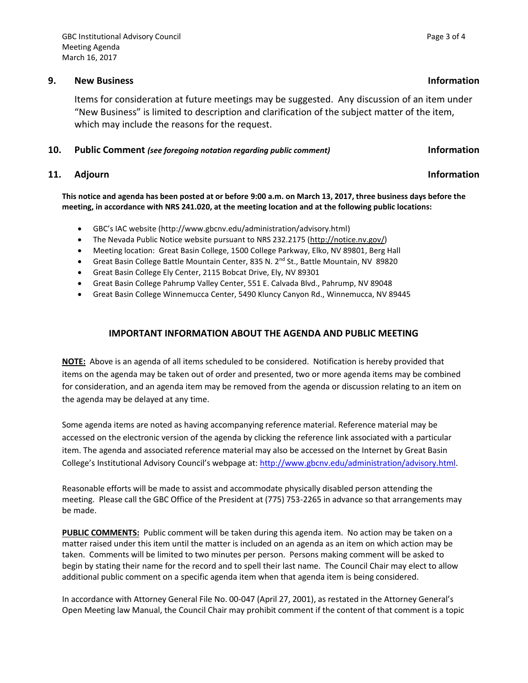### **9. New Business Information**

Items for consideration at future meetings may be suggested. Any discussion of an item under "New Business" is limited to description and clarification of the subject matter of the item, which may include the reasons for the request.

### **10. Public Comment** *(see foregoing notation regarding public comment)* **Information**

## **11.** Adjourn **Information**

**This notice and agenda has been posted at or before 9:00 a.m. on March 13, 2017, three business days before the meeting, in accordance with NRS 241.020, at the meeting location and at the following public locations:**

- GBC's IAC website (http://www.gbcnv.edu/administration/advisory.html)
- The Nevada Public Notice website pursuant to NRS 232.2175 [\(http://notice.nv.gov/\)](http://notice.nv.gov/)
- Meeting location: Great Basin College, 1500 College Parkway, Elko, NV 89801, Berg Hall
- Great Basin College Battle Mountain Center, 835 N. 2<sup>nd</sup> St., Battle Mountain, NV 89820
- Great Basin College Ely Center, 2115 Bobcat Drive, Ely, NV 89301
- Great Basin College Pahrump Valley Center, 551 E. Calvada Blvd., Pahrump, NV 89048
- Great Basin College Winnemucca Center, 5490 Kluncy Canyon Rd., Winnemucca, NV 89445

### **IMPORTANT INFORMATION ABOUT THE AGENDA AND PUBLIC MEETING**

**NOTE:** Above is an agenda of all items scheduled to be considered. Notification is hereby provided that items on the agenda may be taken out of order and presented, two or more agenda items may be combined for consideration, and an agenda item may be removed from the agenda or discussion relating to an item on the agenda may be delayed at any time.

Some agenda items are noted as having accompanying reference material. Reference material may be accessed on the electronic version of the agenda by clicking the reference link associated with a particular item. The agenda and associated reference material may also be accessed on the Internet by Great Basin College's Institutional Advisory Council's webpage at: [http://www.gbcnv.edu/administration/advisory.html.](http://www.gbcnv.edu/administration/advisory.html)

Reasonable efforts will be made to assist and accommodate physically disabled person attending the meeting. Please call the GBC Office of the President at (775) 753-2265 in advance so that arrangements may be made.

**PUBLIC COMMENTS:** Public comment will be taken during this agenda item. No action may be taken on a matter raised under this item until the matter is included on an agenda as an item on which action may be taken. Comments will be limited to two minutes per person. Persons making comment will be asked to begin by stating their name for the record and to spell their last name. The Council Chair may elect to allow additional public comment on a specific agenda item when that agenda item is being considered.

In accordance with Attorney General File No. 00-047 (April 27, 2001), as restated in the Attorney General's Open Meeting law Manual, the Council Chair may prohibit comment if the content of that comment is a topic